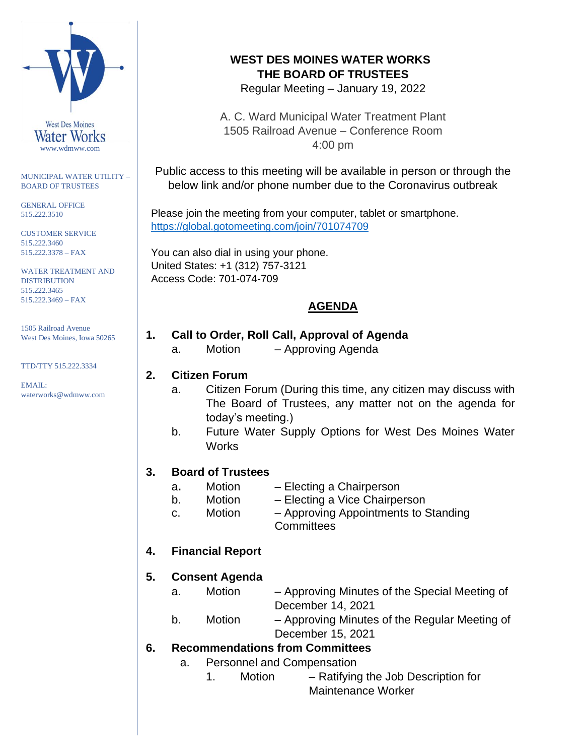

#### MUNICIPAL WATER UTILITY – BOARD OF TRUSTEES

GENERAL OFFICE 515.222.3510

CUSTOMER SERVICE 515.222.3460 515.222.3378 – FAX

WATER TREATMENT AND **DISTRIBUTION** 515.222.3465 515.222.3469 – FAX

1505 Railroad Avenue West Des Moines, Iowa 50265

#### TTD/TTY 515.222.3334

EMAIL: waterworks@wdmww.com

# **WEST DES MOINES WATER WORKS THE BOARD OF TRUSTEES**

Regular Meeting – January 19, 2022

A. C. Ward Municipal Water Treatment Plant 1505 Railroad Avenue – Conference Room 4:00 pm

Public access to this meeting will be available in person or through the below link and/or phone number due to the Coronavirus outbreak

Please join the meeting from your computer, tablet or smartphone. <https://global.gotomeeting.com/join/701074709>

You can also dial in using your phone. United States: +1 (312) 757-3121 Access Code: 701-074-709

# **AGENDA**

- **1. Call to Order, Roll Call, Approval of Agenda**
	- a. Motion Approving Agenda

#### **2. Citizen Forum**

- a. Citizen Forum (During this time, any citizen may discuss with The Board of Trustees, any matter not on the agenda for today's meeting.)
- b. Future Water Supply Options for West Des Moines Water **Works**

### **3. Board of Trustees**

- a**.** Motion Electing a Chairperson
- b. Motion Electing a Vice Chairperson
- c. Motion Approving Appointments to Standing **Committees**

## **4. Financial Report**

### **5. Consent Agenda**

- a. Motion Approving Minutes of the Special Meeting of December 14, 2021
- b. Motion Approving Minutes of the Regular Meeting of December 15, 2021

### **6. Recommendations from Committees**

- a. Personnel and Compensation
	-
	- 1. Motion Ratifying the Job Description for Maintenance Worker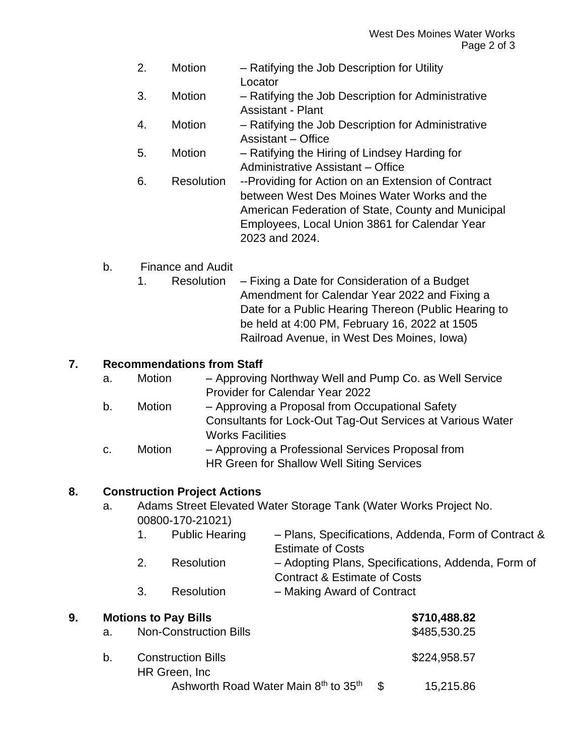- 2. Motion Ratifying the Job Description for Utility **Locator**
- 3. Motion Ratifying the Job Description for Administrative Assistant - Plant
- 4. Motion Ratifying the Job Description for Administrative Assistant – Office
- 5. Motion Ratifying the Hiring of Lindsey Harding for Administrative Assistant – Office
- 6. Resolution --Providing for Action on an Extension of Contract between West Des Moines Water Works and the American Federation of State, County and Municipal Employees, Local Union 3861 for Calendar Year 2023 and 2024.

# b. Finance and Audit

1. Resolution – Fixing a Date for Consideration of a Budget Amendment for Calendar Year 2022 and Fixing a Date for a Public Hearing Thereon (Public Hearing to be held at 4:00 PM, February 16, 2022 at 1505 Railroad Avenue, in West Des Moines, Iowa)

### **7. Recommendations from Staff**

| а. | <b>Motion</b> | - Approving Northway Well and Pump Co. as Well Service |
|----|---------------|--------------------------------------------------------|
|    |               | <b>Provider for Calendar Year 2022</b>                 |
| b. | Motion        | - Approving a Proposal from Occupational Safety        |

- Consultants for Lock-Out Tag-Out Services at Various Water Works Facilities
- c. Motion Approving a Professional Services Proposal from HR Green for Shallow Well Siting Services

## **8. Construction Project Actions**

- a. Adams Street Elevated Water Storage Tank (Water Works Project No. 00800-170-21021)
	- 1. Public Hearing Plans, Specifications, Addenda, Form of Contract & Estimate of Costs 2. Resolution – Adopting Plans, Specifications, Addenda, Form of Contract & Estimate of Costs
	- 3. Resolution Making Award of Contract

| 9. | <b>Motions to Pay Bills</b> |                                             |               | \$710,488.82 |
|----|-----------------------------|---------------------------------------------|---------------|--------------|
|    | а.                          | <b>Non-Construction Bills</b>               |               | \$485,530.25 |
|    | b.                          | <b>Construction Bills</b><br>HR Green, Inc. |               | \$224,958.57 |
|    |                             | Ashworth Road Water Main 8th to 35th        | $\mathcal{S}$ | 15,215.86    |